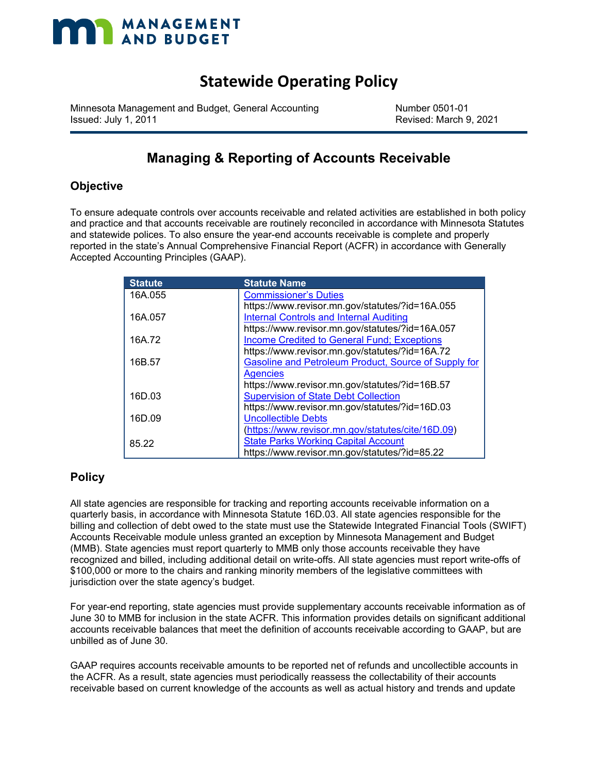### **Statewide Operating Policy**

Minnesota Management and Budget, General Accounting Number 0501-01 Issued: July 1, 2011 Revised: March 9, 2021

### **Managing & Reporting of Accounts Receivable**

### **Objective**

To ensure adequate controls over accounts receivable and related activities are established in both policy and practice and that accounts receivable are routinely reconciled in accordance with Minnesota Statutes and statewide polices. To also ensure the year-end accounts receivable is complete and properly reported in the state's Annual Comprehensive Financial Report (ACFR) in accordance with Generally Accepted Accounting Principles (GAAP).

| <b>Statute</b> | <b>Statute Name</b>                                  |
|----------------|------------------------------------------------------|
| 16A.055        | <b>Commissioner's Duties</b>                         |
|                | https://www.revisor.mn.gov/statutes/?id=16A.055      |
| 16A.057        | <b>Internal Controls and Internal Auditing</b>       |
|                | https://www.revisor.mn.gov/statutes/?id=16A.057      |
| 16A.72         | <b>Income Credited to General Fund; Exceptions</b>   |
|                | https://www.revisor.mn.gov/statutes/?id=16A.72       |
| 16B.57         | Gasoline and Petroleum Product, Source of Supply for |
|                | <b>Agencies</b>                                      |
|                | https://www.revisor.mn.gov/statutes/?id=16B.57       |
| 16D.03         | <b>Supervision of State Debt Collection</b>          |
|                | https://www.revisor.mn.gov/statutes/?id=16D.03       |
| 16D.09         | <b>Uncollectible Debts</b>                           |
|                | (https://www.revisor.mn.gov/statutes/cite/16D.09)    |
| 85.22          | <b>State Parks Working Capital Account</b>           |
|                | https://www.revisor.mn.gov/statutes/?id=85.22        |

### **Policy**

All state agencies are responsible for tracking and reporting accounts receivable information on a quarterly basis, in accordance with Minnesota Statute 16D.03. All state agencies responsible for the billing and collection of debt owed to the state must use the Statewide Integrated Financial Tools (SWIFT) Accounts Receivable module unless granted an exception by Minnesota Management and Budget (MMB). State agencies must report quarterly to MMB only those accounts receivable they have recognized and billed, including additional detail on write-offs. All state agencies must report write-offs of \$100,000 or more to the chairs and ranking minority members of the legislative committees with jurisdiction over the state agency's budget.

For year-end reporting, state agencies must provide supplementary accounts receivable information as of June 30 to MMB for inclusion in the state ACFR. This information provides details on significant additional accounts receivable balances that meet the definition of accounts receivable according to GAAP, but are unbilled as of June 30.

GAAP requires accounts receivable amounts to be reported net of refunds and uncollectible accounts in the ACFR. As a result, state agencies must periodically reassess the collectability of their accounts receivable based on current knowledge of the accounts as well as actual history and trends and update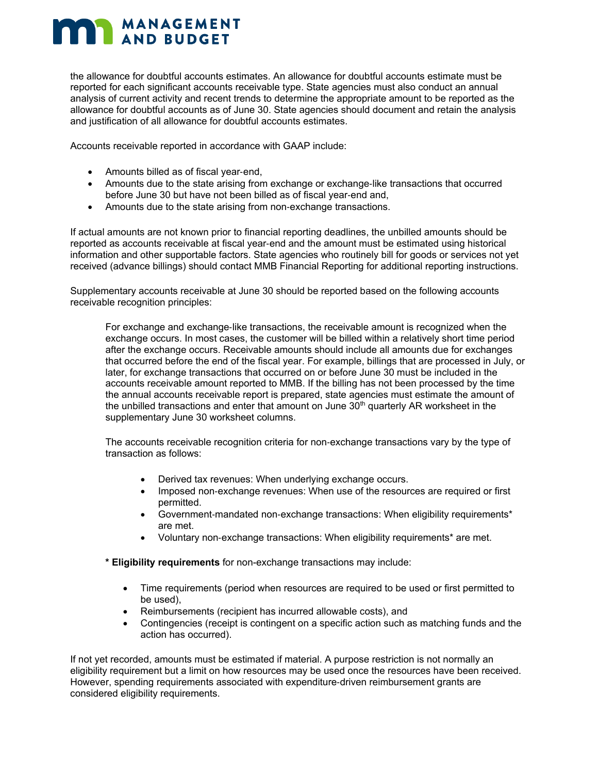the allowance for doubtful accounts estimates. An allowance for doubtful accounts estimate must be reported for each significant accounts receivable type. State agencies must also conduct an annual analysis of current activity and recent trends to determine the appropriate amount to be reported as the allowance for doubtful accounts as of June 30. State agencies should document and retain the analysis and justification of all allowance for doubtful accounts estimates.

Accounts receivable reported in accordance with GAAP include:

- Amounts billed as of fiscal year‐end,
- Amounts due to the state arising from exchange or exchange-like transactions that occurred before June 30 but have not been billed as of fiscal year‐end and,
- Amounts due to the state arising from non-exchange transactions.

If actual amounts are not known prior to financial reporting deadlines, the unbilled amounts should be reported as accounts receivable at fiscal year‐end and the amount must be estimated using historical information and other supportable factors. State agencies who routinely bill for goods or services not yet received (advance billings) should contact MMB Financial Reporting for additional reporting instructions.

Supplementary accounts receivable at June 30 should be reported based on the following accounts receivable recognition principles:

For exchange and exchange‐like transactions, the receivable amount is recognized when the exchange occurs. In most cases, the customer will be billed within a relatively short time period after the exchange occurs. Receivable amounts should include all amounts due for exchanges that occurred before the end of the fiscal year. For example, billings that are processed in July, or later, for exchange transactions that occurred on or before June 30 must be included in the accounts receivable amount reported to MMB. If the billing has not been processed by the time the annual accounts receivable report is prepared, state agencies must estimate the amount of the unbilled transactions and enter that amount on June  $3\bar{0}$ <sup>th</sup> quarterly AR worksheet in the supplementary June 30 worksheet columns.

The accounts receivable recognition criteria for non‐exchange transactions vary by the type of transaction as follows:

- Derived tax revenues: When underlying exchange occurs.
- Imposed non-exchange revenues: When use of the resources are required or first permitted.
- Government-mandated non-exchange transactions: When eligibility requirements\* are met.
- Voluntary non‐exchange transactions: When eligibility requirements\* are met.
- **\* Eligibility requirements** for non-exchange transactions may include:
	- Time requirements (period when resources are required to be used or first permitted to be used),
	- Reimbursements (recipient has incurred allowable costs), and
	- Contingencies (receipt is contingent on a specific action such as matching funds and the action has occurred).

If not yet recorded, amounts must be estimated if material. A purpose restriction is not normally an eligibility requirement but a limit on how resources may be used once the resources have been received. However, spending requirements associated with expenditure‐driven reimbursement grants are considered eligibility requirements.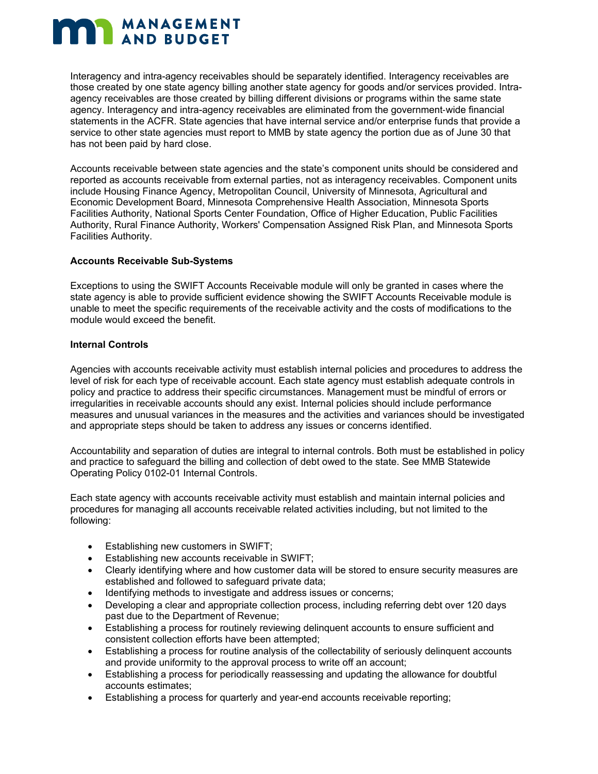Interagency and intra-agency receivables should be separately identified. Interagency receivables are those created by one state agency billing another state agency for goods and/or services provided. Intraagency receivables are those created by billing different divisions or programs within the same state agency. Interagency and intra-agency receivables are eliminated from the government‐wide financial statements in the ACFR. State agencies that have internal service and/or enterprise funds that provide a service to other state agencies must report to MMB by state agency the portion due as of June 30 that has not been paid by hard close.

Accounts receivable between state agencies and the state's component units should be considered and reported as accounts receivable from external parties, not as interagency receivables. Component units include Housing Finance Agency, Metropolitan Council, University of Minnesota, Agricultural and Economic Development Board, Minnesota Comprehensive Health Association, Minnesota Sports Facilities Authority, National Sports Center Foundation, Office of Higher Education, Public Facilities Authority, Rural Finance Authority, Workers' Compensation Assigned Risk Plan, and Minnesota Sports Facilities Authority.

#### **Accounts Receivable Sub-Systems**

Exceptions to using the SWIFT Accounts Receivable module will only be granted in cases where the state agency is able to provide sufficient evidence showing the SWIFT Accounts Receivable module is unable to meet the specific requirements of the receivable activity and the costs of modifications to the module would exceed the benefit.

#### **Internal Controls**

Agencies with accounts receivable activity must establish internal policies and procedures to address the level of risk for each type of receivable account. Each state agency must establish adequate controls in policy and practice to address their specific circumstances. Management must be mindful of errors or irregularities in receivable accounts should any exist. Internal policies should include performance measures and unusual variances in the measures and the activities and variances should be investigated and appropriate steps should be taken to address any issues or concerns identified.

Accountability and separation of duties are integral to internal controls. Both must be established in policy and practice to safeguard the billing and collection of debt owed to the state. See MMB Statewide Operating Policy 0102-01 Internal Controls.

Each state agency with accounts receivable activity must establish and maintain internal policies and procedures for managing all accounts receivable related activities including, but not limited to the following:

- Establishing new customers in SWIFT;
- Establishing new accounts receivable in SWIFT;
- Clearly identifying where and how customer data will be stored to ensure security measures are established and followed to safeguard private data;
- Identifying methods to investigate and address issues or concerns;
- Developing a clear and appropriate collection process, including referring debt over 120 days past due to the Department of Revenue;
- Establishing a process for routinely reviewing delinquent accounts to ensure sufficient and consistent collection efforts have been attempted;
- Establishing a process for routine analysis of the collectability of seriously delinquent accounts and provide uniformity to the approval process to write off an account;
- Establishing a process for periodically reassessing and updating the allowance for doubtful accounts estimates;
- Establishing a process for quarterly and year-end accounts receivable reporting;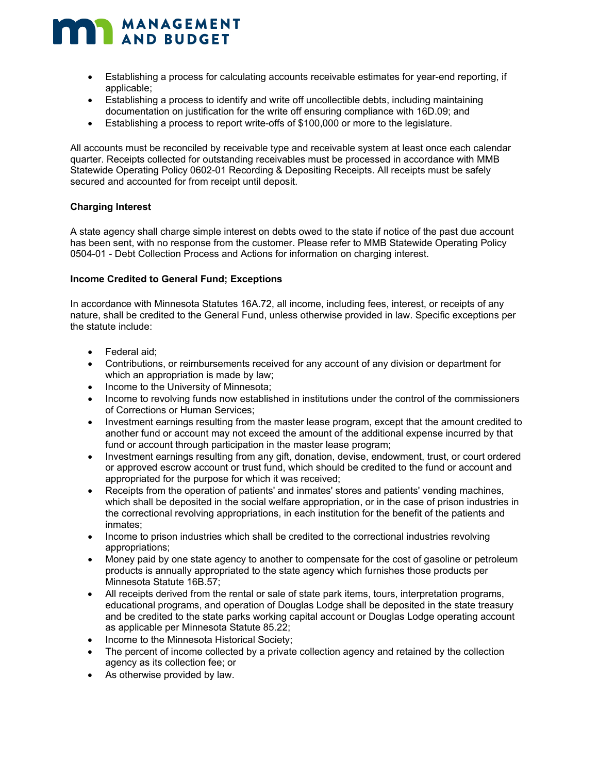- Establishing a process for calculating accounts receivable estimates for year-end reporting, if applicable;
- Establishing a process to identify and write off uncollectible debts, including maintaining documentation on justification for the write off ensuring compliance with 16D.09; and
- Establishing a process to report write-offs of \$100,000 or more to the legislature.

All accounts must be reconciled by receivable type and receivable system at least once each calendar quarter. Receipts collected for outstanding receivables must be processed in accordance with MMB Statewide Operating Policy 0602-01 Recording & Depositing Receipts. All receipts must be safely secured and accounted for from receipt until deposit.

#### **Charging Interest**

A state agency shall charge simple interest on debts owed to the state if notice of the past due account has been sent, with no response from the customer. Please refer to MMB Statewide Operating Policy 0504-01 - Debt Collection Process and Actions for information on charging interest.

#### **Income Credited to General Fund; Exceptions**

In accordance with Minnesota Statutes 16A.72, all income, including fees, interest, or receipts of any nature, shall be credited to the General Fund, unless otherwise provided in law. Specific exceptions per the statute include:

- Federal aid;
- Contributions, or reimbursements received for any account of any division or department for which an appropriation is made by law;
- Income to the University of Minnesota;
- Income to revolving funds now established in institutions under the control of the commissioners of Corrections or Human Services;
- Investment earnings resulting from the master lease program, except that the amount credited to another fund or account may not exceed the amount of the additional expense incurred by that fund or account through participation in the master lease program;
- Investment earnings resulting from any gift, donation, devise, endowment, trust, or court ordered or approved escrow account or trust fund, which should be credited to the fund or account and appropriated for the purpose for which it was received;
- Receipts from the operation of patients' and inmates' stores and patients' vending machines, which shall be deposited in the social welfare appropriation, or in the case of prison industries in the correctional revolving appropriations, in each institution for the benefit of the patients and inmates;
- Income to prison industries which shall be credited to the correctional industries revolving appropriations;
- Money paid by one state agency to another to compensate for the cost of gasoline or petroleum products is annually appropriated to the state agency which furnishes those products per Minnesota Statute 16B.57;
- All receipts derived from the rental or sale of state park items, tours, interpretation programs, educational programs, and operation of Douglas Lodge shall be deposited in the state treasury and be credited to the state parks working capital account or Douglas Lodge operating account as applicable per Minnesota Statute 85.22;
- Income to the Minnesota Historical Society;
- The percent of income collected by a private collection agency and retained by the collection agency as its collection fee; or
- As otherwise provided by law.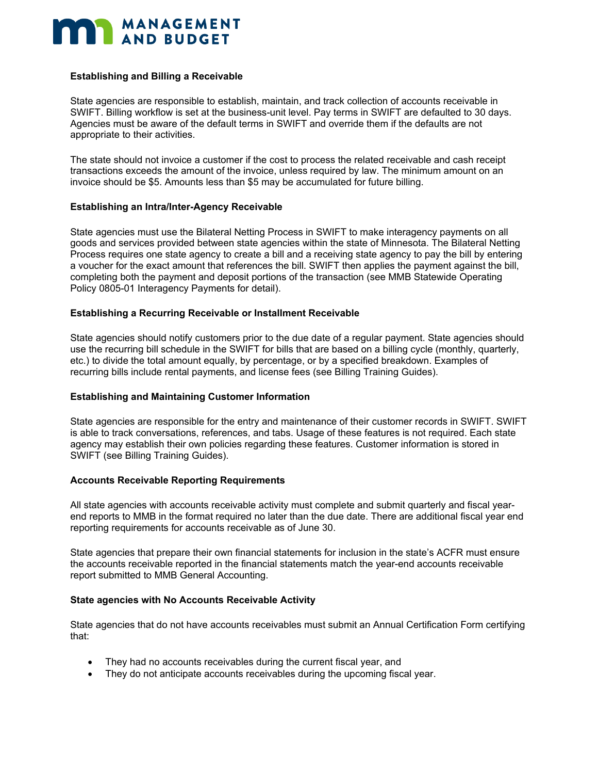#### **Establishing and Billing a Receivable**

State agencies are responsible to establish, maintain, and track collection of accounts receivable in SWIFT. Billing workflow is set at the business-unit level. Pay terms in SWIFT are defaulted to 30 days. Agencies must be aware of the default terms in SWIFT and override them if the defaults are not appropriate to their activities.

The state should not invoice a customer if the cost to process the related receivable and cash receipt transactions exceeds the amount of the invoice, unless required by law. The minimum amount on an invoice should be \$5. Amounts less than \$5 may be accumulated for future billing.

#### **Establishing an Intra/Inter-Agency Receivable**

State agencies must use the Bilateral Netting Process in SWIFT to make interagency payments on all goods and services provided between state agencies within the state of Minnesota. The Bilateral Netting Process requires one state agency to create a bill and a receiving state agency to pay the bill by entering a voucher for the exact amount that references the bill. SWIFT then applies the payment against the bill, completing both the payment and deposit portions of the transaction (see MMB Statewide Operating Policy 0805-01 Interagency Payments for detail).

#### **Establishing a Recurring Receivable or Installment Receivable**

State agencies should notify customers prior to the due date of a regular payment. State agencies should use the recurring bill schedule in the SWIFT for bills that are based on a billing cycle (monthly, quarterly, etc.) to divide the total amount equally, by percentage, or by a specified breakdown. Examples of recurring bills include rental payments, and license fees (see Billing Training Guides).

#### **Establishing and Maintaining Customer Information**

State agencies are responsible for the entry and maintenance of their customer records in SWIFT. SWIFT is able to track conversations, references, and tabs. Usage of these features is not required. Each state agency may establish their own policies regarding these features. Customer information is stored in SWIFT (see Billing Training Guides).

#### **Accounts Receivable Reporting Requirements**

All state agencies with accounts receivable activity must complete and submit quarterly and fiscal yearend reports to MMB in the format required no later than the due date. There are additional fiscal year end reporting requirements for accounts receivable as of June 30.

State agencies that prepare their own financial statements for inclusion in the state's ACFR must ensure the accounts receivable reported in the financial statements match the year-end accounts receivable report submitted to MMB General Accounting.

#### **State agencies with No Accounts Receivable Activity**

State agencies that do not have accounts receivables must submit an Annual Certification Form certifying that:

- They had no accounts receivables during the current fiscal year, and
- They do not anticipate accounts receivables during the upcoming fiscal year.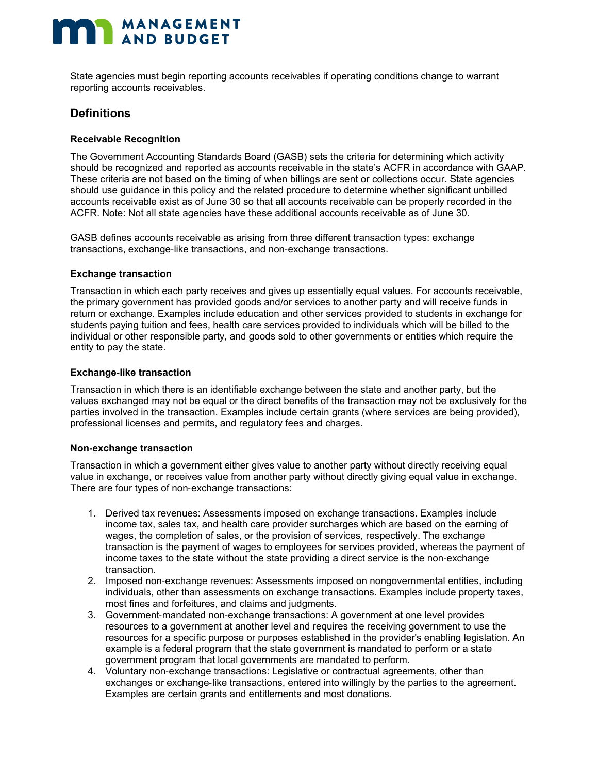State agencies must begin reporting accounts receivables if operating conditions change to warrant reporting accounts receivables.

### **Definitions**

#### **Receivable Recognition**

The Government Accounting Standards Board (GASB) sets the criteria for determining which activity should be recognized and reported as accounts receivable in the state's ACFR in accordance with GAAP. These criteria are not based on the timing of when billings are sent or collections occur. State agencies should use guidance in this policy and the related procedure to determine whether significant unbilled accounts receivable exist as of June 30 so that all accounts receivable can be properly recorded in the ACFR. Note: Not all state agencies have these additional accounts receivable as of June 30.

GASB defines accounts receivable as arising from three different transaction types: exchange transactions, exchange‐like transactions, and non‐exchange transactions.

#### **Exchange transaction**

Transaction in which each party receives and gives up essentially equal values. For accounts receivable, the primary government has provided goods and/or services to another party and will receive funds in return or exchange. Examples include education and other services provided to students in exchange for students paying tuition and fees, health care services provided to individuals which will be billed to the individual or other responsible party, and goods sold to other governments or entities which require the entity to pay the state.

#### **Exchange**‐**like transaction**

Transaction in which there is an identifiable exchange between the state and another party, but the values exchanged may not be equal or the direct benefits of the transaction may not be exclusively for the parties involved in the transaction. Examples include certain grants (where services are being provided), professional licenses and permits, and regulatory fees and charges.

#### **Non**‐**exchange transaction**

Transaction in which a government either gives value to another party without directly receiving equal value in exchange, or receives value from another party without directly giving equal value in exchange. There are four types of non‐exchange transactions:

- 1. Derived tax revenues: Assessments imposed on exchange transactions. Examples include income tax, sales tax, and health care provider surcharges which are based on the earning of wages, the completion of sales, or the provision of services, respectively. The exchange transaction is the payment of wages to employees for services provided, whereas the payment of income taxes to the state without the state providing a direct service is the non‐exchange transaction.
- 2. Imposed non‐exchange revenues: Assessments imposed on nongovernmental entities, including individuals, other than assessments on exchange transactions. Examples include property taxes, most fines and forfeitures, and claims and judgments.
- 3. Government‐mandated non‐exchange transactions: A government at one level provides resources to a government at another level and requires the receiving government to use the resources for a specific purpose or purposes established in the provider's enabling legislation. An example is a federal program that the state government is mandated to perform or a state government program that local governments are mandated to perform.
- 4. Voluntary non‐exchange transactions: Legislative or contractual agreements, other than exchanges or exchange‐like transactions, entered into willingly by the parties to the agreement. Examples are certain grants and entitlements and most donations.